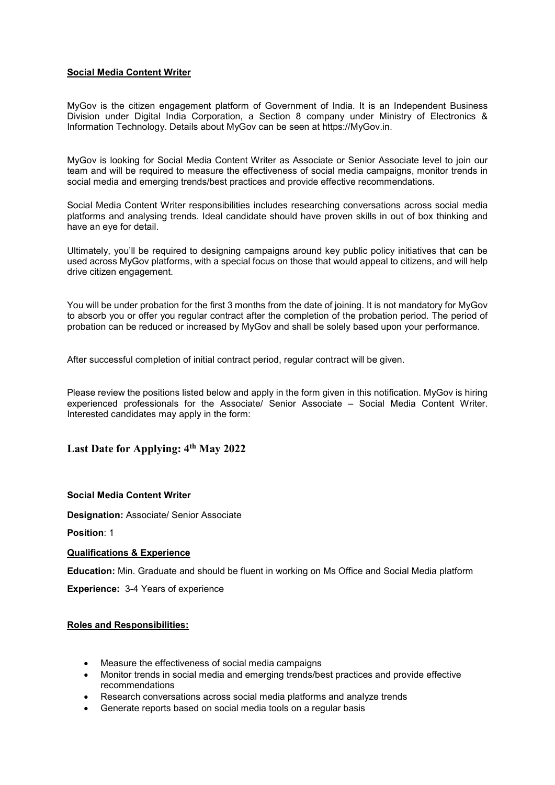# Social Media Content Writer

MyGov is the citizen engagement platform of Government of India. It is an Independent Business Division under Digital India Corporation, a Section 8 company under Ministry of Electronics & Information Technology. Details about MyGov can be seen at https://MyGov.in.

MyGov is looking for Social Media Content Writer as Associate or Senior Associate level to join our team and will be required to measure the effectiveness of social media campaigns, monitor trends in social media and emerging trends/best practices and provide effective recommendations.

Social Media Content Writer responsibilities includes researching conversations across social media platforms and analysing trends. Ideal candidate should have proven skills in out of box thinking and have an eye for detail.

Ultimately, you'll be required to designing campaigns around key public policy initiatives that can be used across MyGov platforms, with a special focus on those that would appeal to citizens, and will help drive citizen engagement.

You will be under probation for the first 3 months from the date of joining. It is not mandatory for MyGov to absorb you or offer you regular contract after the completion of the probation period. The period of probation can be reduced or increased by MyGov and shall be solely based upon your performance.

After successful completion of initial contract period, regular contract will be given.

Please review the positions listed below and apply in the form given in this notification. MyGov is hiring experienced professionals for the Associate/ Senior Associate – Social Media Content Writer. Interested candidates may apply in the form:

# Last Date for Applying: 4<sup>th</sup> May 2022

#### Social Media Content Writer

Designation: Associate/ Senior Associate

Position: 1

### Qualifications & Experience

Education: Min. Graduate and should be fluent in working on Ms Office and Social Media platform

Experience: 3-4 Years of experience

# Roles and Responsibilities:

- Measure the effectiveness of social media campaigns
- Monitor trends in social media and emerging trends/best practices and provide effective recommendations
- Research conversations across social media platforms and analyze trends
- Generate reports based on social media tools on a regular basis